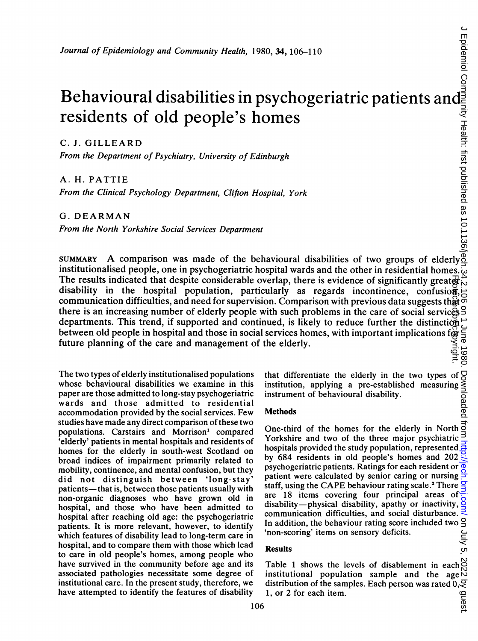# Behavioural disabilities in psychogeriatric patients and residents of old people's homes

C. J. GILLEARD

From the Department of Psychiatry, University of Edinburgh

A. H. PATTIE

From the Clinical Psychology Department, Clifton Hospital, York

G. DEARMAN

From the North Yorkshire Social Services Department

SUMMARY A comparison was made of the behavioural disabilities of two groups of elderly institutionalised people, one in psychogeriatric hospital wards and the other in residential homes. The results indicated that despite considerable overlap, there is evidence of significantly greated is disability in the hospital population, particularly as regards incontinence, confusion, disability in the hospital population, particularly as regards incontinence, confusion, communication difficulties, and need for supervision. Comparison with previous data suggests that there is an increasing number of elderly people with such problems in the care of social services departments. This trend, if supported and continued, is likely to reduce further the distinction  $\vec{c}$  between old people departments. This trend, if supported and continued, is likely to reduce further the distinction between old people in hospital and those in social services homes, with important implications for future planning of the care and management of the elderly. Protected by copyright.

The two types of elderly institutionalised populations whose behavioural disabilities we examine in this paper are those admitted to long-stay psychogeriatric wards and those admitted to residential accommodation provided by the social services. Few studies have made any direct comparison of these two populations. Carstairs and Morrison' compared 'elderly' patients in mental hospitals and residents of homes for the elderly in south-west Scotland on broad indices of impairment primarily related to mobility, continence, and mental confusion, but they did not distinguish between 'long-stay' patients- that is, between those patients usually with non-organic diagnoses who have grown old in hospital, and those who have been admitted to hospital after reaching old age: the psychogeriatric patients. It is more relevant, however, to identify which features of disability lead to long-term care in hospital, and to compare them with those which lead to care in old people's homes, among people who have survived in the community before age and its associated pathologies necessitate some degree of institutional care. In the present study, therefore, we have attempted to identify the features of disability

that differentiate the elderly in the two types of  $\frac{1}{2}$ <br>institution, applying a pre-established measuring  $\frac{1}{2}$ <br>instrument of behavioural disability.<br>Methods  $\frac{1}{2}$ institution, applying a pre-established measuring instrument of behavioural disability.

Methods

One-third of the homes for the elderly in North  $\overrightarrow{0}$ Yorkshire and two of the three major psychiatric hospitals provided the study population, represented by 684 residents in old people's homes and 202 psychogeriatric patients. Ratings for each resident or patient were calculated by senior caring or nursing staff, using the CAPE behaviour rating scale.<sup>2</sup> There are 18 items covering four principal areas of disability-physical disability, apathy or inactivity, communication difficulties, and social disturbance. In addition, the behaviour rating score included two 'non-scoring' items on sensory deficits.

## Results

Table 1 shows the levels of disablement in each  $\bigcirc$  institutional population sample and the age  $\bigcirc$ institutional population sample and the age distribution of the samples. Each person was rated  $0, \frac{3}{5}$ <br>1, or 2 for each item. 1, or 2 for each item.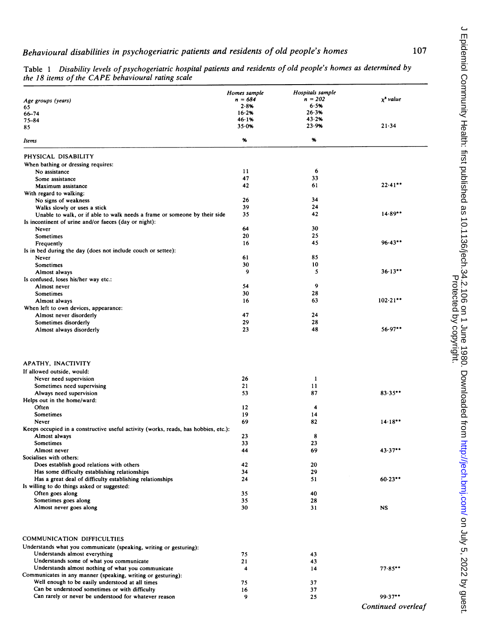|                                                                                     | Homes sample | Hospitals sample |                   |
|-------------------------------------------------------------------------------------|--------------|------------------|-------------------|
| Age groups (years)                                                                  | $n = 684$    | $n = 202$        | $x^2$ value       |
| 65                                                                                  | 2.8%         | 6.5%             |                   |
| $66 - 74$                                                                           | $16 - 2%$    | 26.3%            |                   |
| 75-84                                                                               | 46 1%        | 43.2%            |                   |
| 85                                                                                  | 35.0%        | 23.9%            | $21 - 34$         |
| Items                                                                               | %            | %                |                   |
| PHYSICAL DISABILITY                                                                 |              |                  |                   |
| When bathing or dressing requires:                                                  |              |                  |                   |
| No assistance                                                                       | 11           | 6                |                   |
| Some assistance                                                                     | 47           | 33               |                   |
| Maximum assistance                                                                  | 42           | 61               | $22.41**$         |
| With regard to walking:                                                             |              |                  |                   |
| No signs of weakness                                                                | 26           | 34               |                   |
| Walks slowly or uses a stick                                                        | 39           | 24               |                   |
| Unable to walk, or if able to walk needs a frame or someone by their side           | 35           | 42               | $14.89**$         |
| Is incontinent of urine and/or faeces (day or night):                               |              |                  |                   |
| Never                                                                               | 64<br>20     | 30<br>25         |                   |
| Sometimes                                                                           | 16           | 45               | $96.43**$         |
| Frequently                                                                          |              |                  |                   |
| Is in bed during the day (does not include couch or settee):                        | 61           | 85               |                   |
| Never<br>Sometimes                                                                  | 30           | 10               |                   |
| Almost always                                                                       | 9            | 5                | 36.13             |
| Is confused, loses his/her way etc.:                                                |              |                  |                   |
| Almost never                                                                        | 54           | 9                |                   |
| Sometimes                                                                           | 30           | 28               |                   |
| Almost always                                                                       | 16           | 63               | 102.21            |
| When left to own devices, appearance:                                               |              |                  |                   |
| Almost never disorderly                                                             | 47           | 24               |                   |
| Sometimes disorderly                                                                | 29           | 28               |                   |
| Almost always disorderly                                                            | 23           | 48               | 56.97             |
| APATHY, INACTIVITY                                                                  |              |                  |                   |
| If allowed outside, would:                                                          |              |                  |                   |
| Never need supervision                                                              | 26           | 1                |                   |
| Sometimes need supervising                                                          | 21           | 11               |                   |
| Always need supervision                                                             | 53           | 87               | 83.35             |
| Helps out in the home/ward:                                                         |              |                  |                   |
| Often<br>Sometimes                                                                  | 12<br>19     | 4<br>14          |                   |
| Never                                                                               | 69           | 82               | 14.18             |
| Keeps occupied in a constructive useful activity (works, reads, has hobbies, etc.): |              |                  |                   |
| Almost always                                                                       | 23           | 8                |                   |
| Sometimes                                                                           | 33           | 23               |                   |
| Almost never                                                                        | 44           | 69               | 43.37             |
| Socialises with others:                                                             |              |                  |                   |
| Does establish good relations with others                                           | 42           | 20               |                   |
| Has some difficulty establishing relationships                                      | 34           | 29               |                   |
| Has a great deal of difficulty establishing relationships                           | 24           | 51               | $60.23***$        |
| Is willing to do things asked or suggested:                                         |              |                  |                   |
| Often goes along                                                                    | 35           | 40               |                   |
| Sometimes goes along<br>Almost never goes along                                     | 35<br>30     | 28<br>31         | NS                |
|                                                                                     |              |                  |                   |
| COMMUNICATION DIFFICULTIES                                                          |              |                  |                   |
| Understands what you communicate (speaking, writing or gesturing):                  |              |                  |                   |
| Understands almost everything                                                       | 75           | 43               |                   |
| Understands some of what you communicate                                            | 21           | 43               |                   |
| Understands almost nothing of what you communicate                                  | 4            | 14               | 77.85             |
| Communicates in any manner (speaking, writing or gesturing):                        |              |                  |                   |
| Well enough to be easily understood at all times                                    | 75           | 37               |                   |
| Can be understood sometimes or with difficulty                                      | 16           | 37               |                   |
| Can rarely or never be understood for whatever reason                               | 9            | 25               | $99.37**$         |
|                                                                                     |              |                  | Continued overled |

Table 1 Disability levels of psychogeriatric hospital patients and residents of old people's homes as determined by the <sup>18</sup> items of the CAPE behavioural rating scale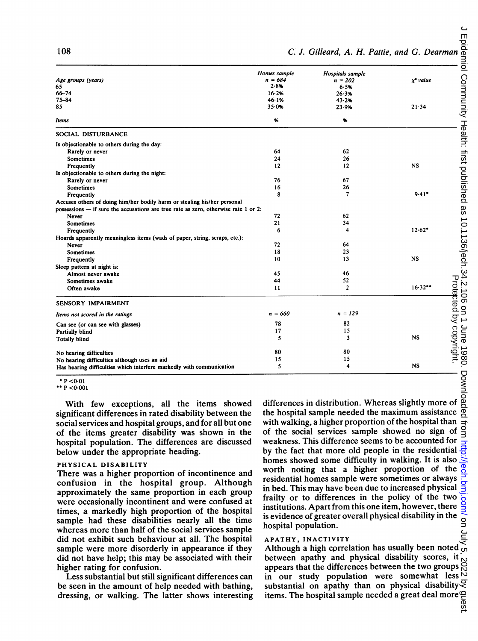|                                                                                     | Homes sample | Hospitals sample |                |                        |
|-------------------------------------------------------------------------------------|--------------|------------------|----------------|------------------------|
| Age groups (years)                                                                  | $n = 684$    | $n = 202$        | $\chi^2$ value |                        |
| 65                                                                                  | 2.8%         | 6.5%             |                |                        |
| $66 - 74$                                                                           | 16.2%        | 26.3%            |                |                        |
| 75-84                                                                               | 46.1%        | 43.2%            |                |                        |
| 85                                                                                  | $35 - 0%$    | 23.9%            | 21.34          |                        |
| Items                                                                               | %            | %                |                |                        |
| SOCIAL DISTURBANCE                                                                  |              |                  |                |                        |
| Is objectionable to others during the day:                                          |              |                  |                |                        |
| Rarely or never                                                                     | 64           | 62               |                |                        |
| Sometimes                                                                           | 24           | 26               |                |                        |
| Frequently                                                                          | 12           | 12               | <b>NS</b>      |                        |
| Is objectionable to others during the night:                                        |              |                  |                |                        |
| Rarely or never                                                                     | 76           | 67               |                |                        |
| Sometimes                                                                           | 16           | 26               |                |                        |
| Frequently                                                                          | 8            | 7                | 9.41           |                        |
| Accuses others of doing him/her bodily harm or stealing his/her personal            |              |                  |                |                        |
| possessions - if sure the accusations are true rate as zero, otherwise rate 1 or 2: |              |                  |                |                        |
| Never                                                                               | 72           | 62               |                |                        |
| <b>Sometimes</b>                                                                    | 21           | 34               |                |                        |
| Frequently                                                                          | 6            | 4                | $12.62*$       |                        |
| Hoards apparently meaningless items (wads of paper, string, scraps, etc.):          |              |                  |                |                        |
| Never                                                                               | 72           | 64               |                |                        |
| <b>Sometimes</b>                                                                    | 18           | 23               |                |                        |
| Frequently                                                                          | 10           | 13               | <b>NS</b>      |                        |
| Sleep pattern at night is:                                                          |              |                  |                |                        |
| Almost never awake                                                                  | 45           | 46               |                |                        |
| Sometimes awake                                                                     | 44           | 52               |                |                        |
| Often awake                                                                         | 11           | $\overline{2}$   | 16.32          |                        |
| <b>SENSORY IMPAIRMENT</b>                                                           |              |                  |                | Protected by copyright |
| Items not scored in the ratings                                                     | $n = 660$    | $n = 129$        |                |                        |
| Can see (or can see with glasses)                                                   | 78           | 82               |                |                        |
| Partially blind                                                                     | 17           | 15               |                |                        |
| <b>Totally blind</b>                                                                | 5            | 3                | <b>NS</b>      |                        |
| No hearing difficulties                                                             | 80           | 80               |                |                        |
| No hearing difficulties although uses an aid                                        | 15           | 15               |                |                        |
| Has hearing difficulties which interfere markedly with communication                | 5            | 4                | <b>NS</b>      |                        |

 $* P < 0.01$ 

\*\* P <0-001

With few exceptions, all the items showed significant differences in rated disability between the social services and hospital groups, and for all but one of the items greater disability was shown in the hospital population. The differences are discussed below under the appropriate heading.

#### PHYSICAL DISABILITY

There was a higher proportion of incontinence and confusion in the hospital group. Although approximately the same proportion in each group were occasionally incontinent and were confused at times, a markedly high proportion of the hospital sample had these disabilities nearly all the time whereas more than half of the social services sample did not exhibit such behaviour at all. The hospital sample were more disorderly in appearance if they did not have help; this may be associated with their higher rating for confusion.

Less substantial but still significant differences can be seen in the amount of help needed with bathing, dressing, or walking. The latter shows interesting differences in distribution. Whereas slightly more of the hospital sample needed the maximum assistance with walking, a higher proportion of the hospital than of the social services sample showed no sign of weakness. This difference seems to be accounted for by the fact that more old people in the residential homes showed some difficulty in walking. It is also worth noting that a higher proportion of the residential homes sample were sometimes or always in bed. This may have been due to increased physical frailty or to differences in the policy of the two institutions. Apart from this one item, however, there is evidence of greater overall physical disability in the hospital population.

#### APATHY, INACTIVITY

Although <sup>a</sup> high correlation has usually been noted between apathy and physical disability scores, it appears that the differences between the two groups in our study population were somewhat less substantial on apathy than on physical disability  $\leq$  items. The hospital sample needed a great deal more  $\subseteq$ items. The hospital sample needed <sup>a</sup> great deal more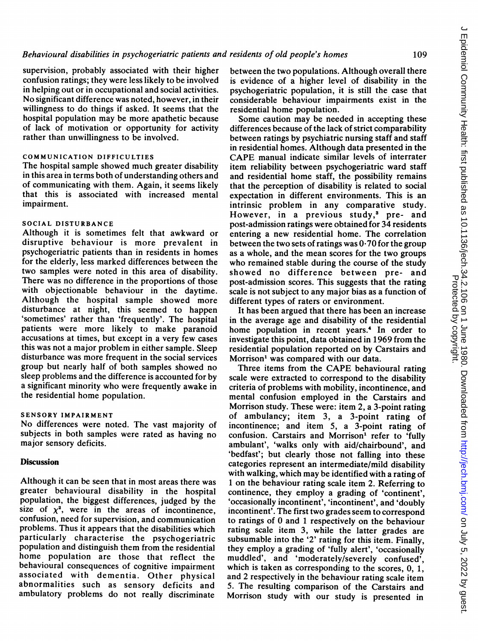109

supervision, probably associated with their higher confusion ratings; they were less likely to be involved in helping out or in occupational and social activities. No significant difference was noted, however, in their willingness to do things if asked. It seems that the hospital population may be more apathetic because of lack of motivation or opportunity for activity rather than unwillingness to be involved.

## COMMUNICATION DIFFICULTIES

The hospital sample showed much greater disability in this area in terms both of understanding others and of communicating with them. Again, it seems likely that this is associated with increased mental impairment.

#### SOCIAL DISTURBANCE

Although it is sometimes felt that awkward or disruptive behaviour is more prevalent in psychogeriatric patients than in residents in homes for the elderly, less marked differences between the two samples were noted in this area of disability. There was no difference in the proportions of those with objectionable behaviour in the daytime. Although the hospital sample showed more disturbance at night, this seemed to happen 'sometimes' rather than 'frequently'. The hospital patients were more likely to make paranoid accusations at times, but except in a very few cases this was not a major problem in either sample. Sleep disturbance was more frequent in the social services group but nearly half of both samples showed no sleep problems and the difference is accounted for by a significant minority who were frequently awake in the residential home population.

#### SENSORY IMPAIRMENT

No differences were noted. The vast majority of subjects in both samples were rated as having no major sensory deficits.

#### **Discussion**

Although it can be seen that in most areas there was greater behavioural disability in the hospital population, the biggest differences, judged by the size of  $\chi^2$ , were in the areas of incontinence, confusion, need for supervision, and communication problems. Thus it appears that the disabilities which particularly characterise the psychogeriatric population and distinguish them from the residential home population are those that reflect the behavioural consequences of cognitive impairment associated with dementia. Other physical abnormalities such as sensory deficits and ambulatory problems do not really discriminate

between the two populations. Although overall there is evidence of a higher level of disability in the psychogeriatric population, it is still the case that considerable behaviour impairments exist in the residential home population.

Some caution may be needed in accepting these differences because of the lack of strict comparability between ratings by psychiatric nursing staff and staff in residential homes. Although data presented in the CAPE manual indicate similar levels of interrater item reliability between psychogeriatric ward staff and residential home staff, the possibility remains that the perception of disability is related to social expectation in different environments. This is an intrinsic problem in any comparative study. However, in a previous study,<sup>3</sup> pre- and post-admission ratings were obtained for 34 residents entering a new residential home. The correlation between the two sets of ratings was 0-70 for the group as a whole, and the mean scores for the two groups who remained stable during the course of the study showed no difference between pre- and post-admission scores. This suggests that the rating scale is not subject to any major bias as a function of different types of raters or environment.

It has been argued that there has been an increase in the average age and disability of the residential home population in recent years.<sup>4</sup> In order to investigate this point, data obtained in 1969 from the residential population reported on by Carstairs and Morrison' was compared with our data.

Three items from the CAPE behavioural rating scale were extracted to correspond to the disability criteria of problems with mobility, incontinence, and mental confusion employed in the Carstairs and Morrison study. These were: item 2, a 3-point rating of ambulancy; item 3, a 3-point rating of incontinence; and item 5, a 3-point rating of confusion. Carstairs and Morrison' refer to 'fully ambulant', 'walks only with aid/chairbound', and 'bedfast'; but clearly those not falling into these categories represent an intermediate/mild disability with walking, which may be identified with a rating of <sup>1</sup> on the behaviour rating scale item 2. Referring to continence, they employ a grading of 'continent', 'occasionally incontinent', 'incontinent', and 'doubly incontinent'. The first two grades seem to correspond to ratings of 0 and <sup>1</sup> respectively on the behaviour rating scale item 3, while the latter grades are subsumable into the '2' rating for this item. Finally, they employ a grading of 'fully alert', 'occasionally muddled', and 'moderately/severely confused', which is taken as corresponding to the scores, 0, 1, and 2 respectively in the behaviour rating scale item 5. The resulting comparison of the Carstairs and Morrison study with our study is presented in